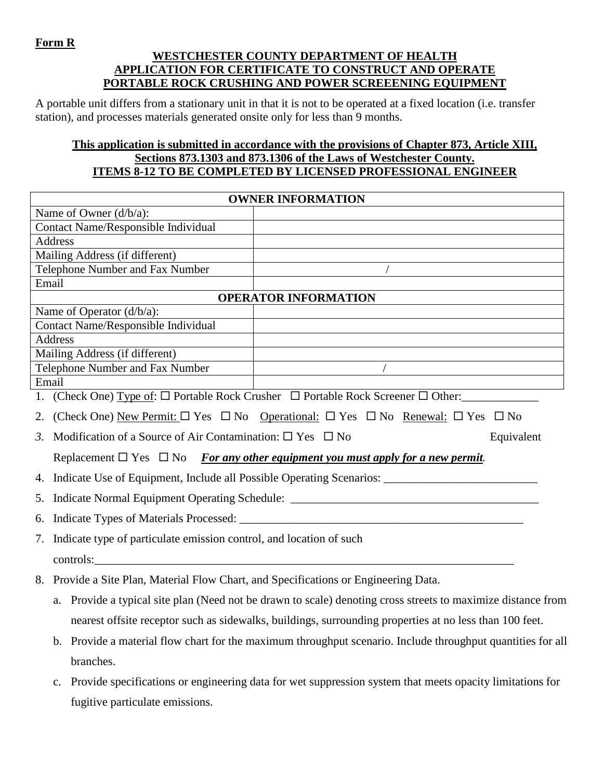## **Form R**

## **WESTCHESTER COUNTY DEPARTMENT OF HEALTH APPLICATION FOR CERTIFICATE TO CONSTRUCT AND OPERATE PORTABLE ROCK CRUSHING AND POWER SCREEENING EQUIPMENT**

A portable unit differs from a stationary unit in that it is not to be operated at a fixed location (i.e. transfer station), and processes materials generated onsite only for less than 9 months.

## **This application is submitted in accordance with the provisions of Chapter 873, Article XIII, Sections 873.1303 and 873.1306 of the Laws of Westchester County. ITEMS 8-12 TO BE COMPLETED BY LICENSED PROFESSIONAL ENGINEER**

| <b>OWNER INFORMATION</b>                                                             |                                                                                                                                |  |  |  |
|--------------------------------------------------------------------------------------|--------------------------------------------------------------------------------------------------------------------------------|--|--|--|
| Name of Owner $(d/b/a)$ :                                                            |                                                                                                                                |  |  |  |
| Contact Name/Responsible Individual                                                  |                                                                                                                                |  |  |  |
| Address                                                                              |                                                                                                                                |  |  |  |
| Mailing Address (if different)                                                       |                                                                                                                                |  |  |  |
| Telephone Number and Fax Number                                                      |                                                                                                                                |  |  |  |
| Email                                                                                |                                                                                                                                |  |  |  |
|                                                                                      | <b>OPERATOR INFORMATION</b>                                                                                                    |  |  |  |
| Name of Operator (d/b/a):                                                            |                                                                                                                                |  |  |  |
| Contact Name/Responsible Individual                                                  |                                                                                                                                |  |  |  |
| Address                                                                              |                                                                                                                                |  |  |  |
| Mailing Address (if different)<br>Telephone Number and Fax Number                    |                                                                                                                                |  |  |  |
| Email                                                                                |                                                                                                                                |  |  |  |
|                                                                                      | 1. (Check One) $Type of: \Box$ Portable Rock Crusher $\Box$ Portable Rock Screener $\Box$ Other:                               |  |  |  |
| 2.                                                                                   | (Check One) New Permit: $\square$ Yes $\square$ No Operational: $\square$ Yes $\square$ No Renewal: $\square$ Yes $\square$ No |  |  |  |
| Modification of a Source of Air Contamination: $\square$ Yes $\square$ No<br>3.      | Equivalent                                                                                                                     |  |  |  |
|                                                                                      | Replacement $\Box$ Yes $\Box$ No For any other equipment you must apply for a new permit.                                      |  |  |  |
| 4.                                                                                   |                                                                                                                                |  |  |  |
|                                                                                      | 5. Indicate Normal Equipment Operating Schedule: _______________________________                                               |  |  |  |
| 6.                                                                                   |                                                                                                                                |  |  |  |
| 7. Indicate type of particulate emission control, and location of such               |                                                                                                                                |  |  |  |
|                                                                                      |                                                                                                                                |  |  |  |
| 8. Provide a Site Plan, Material Flow Chart, and Specifications or Engineering Data. |                                                                                                                                |  |  |  |
| a.                                                                                   | Provide a typical site plan (Need not be drawn to scale) denoting cross streets to maximize distance from                      |  |  |  |
|                                                                                      | nearest offsite receptor such as sidewalks, buildings, surrounding properties at no less than 100 feet.                        |  |  |  |
|                                                                                      | Provide a material flow chart for the maximum throughput scenario. Include throughput quantities for all                       |  |  |  |
| branches.                                                                            |                                                                                                                                |  |  |  |
| c.                                                                                   | Provide specifications or engineering data for wet suppression system that meets opacity limitations for                       |  |  |  |
| fugitive particulate emissions.                                                      |                                                                                                                                |  |  |  |
|                                                                                      |                                                                                                                                |  |  |  |